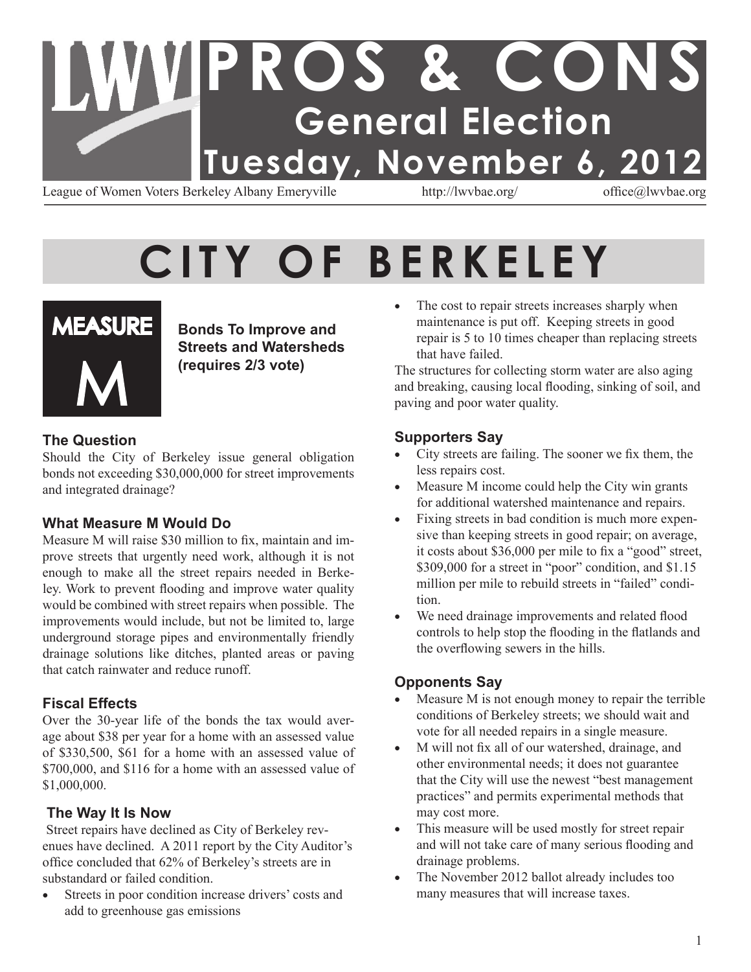# **PROS & CONS General Election Tuesday, November 6, 2012**

League of Women Voters Berkeley Albany Emeryville http://lwvbae.org/ office@lwvbae.org

# **CITY OF BERKELEY**



**Bonds To Improve and Streets and Watersheds (requires 2/3 vote)**

#### **The Question**

Should the City of Berkeley issue general obligation bonds not exceeding \$30,000,000 for street improvements and integrated drainage?

#### **What Measure M Would Do**

Measure M will raise \$30 million to fix, maintain and improve streets that urgently need work, although it is not enough to make all the street repairs needed in Berkeley. Work to prevent flooding and improve water quality would be combined with street repairs when possible. The improvements would include, but not be limited to, large underground storage pipes and environmentally friendly drainage solutions like ditches, planted areas or paving that catch rainwater and reduce runoff.

#### **Fiscal Effects**

Over the 30-year life of the bonds the tax would average about \$38 per year for a home with an assessed value of \$330,500, \$61 for a home with an assessed value of \$700,000, and \$116 for a home with an assessed value of \$1,000,000.

#### **The Way It Is Now**

Street repairs have declined as City of Berkeley revenues have declined. A 2011 report by the City Auditor's office concluded that 62% of Berkeley's streets are in substandard or failed condition.

• Streets in poor condition increase drivers' costs and add to greenhouse gas emissions

• The cost to repair streets increases sharply when maintenance is put off. Keeping streets in good repair is 5 to 10 times cheaper than replacing streets that have failed.

The structures for collecting storm water are also aging and breaking, causing local flooding, sinking of soil, and paving and poor water quality.

#### **Supporters Say**

- City streets are failing. The sooner we fix them, the less repairs cost.
- Measure M income could help the City win grants for additional watershed maintenance and repairs.
- Fixing streets in bad condition is much more expensive than keeping streets in good repair; on average, it costs about \$36,000 per mile to fix a "good" street, \$309,000 for a street in "poor" condition, and \$1.15 million per mile to rebuild streets in "failed" condition.
- We need drainage improvements and related flood controls to help stop the flooding in the flatlands and the overflowing sewers in the hills.

#### **Opponents Say**

- Measure  $M$  is not enough money to repair the terrible conditions of Berkeley streets; we should wait and vote for all needed repairs in a single measure.
- M will not fix all of our watershed, drainage, and other environmental needs; it does not guarantee that the City will use the newest "best management practices" and permits experimental methods that may cost more.
- This measure will be used mostly for street repair and will not take care of many serious flooding and drainage problems.
- The November 2012 ballot already includes too many measures that will increase taxes.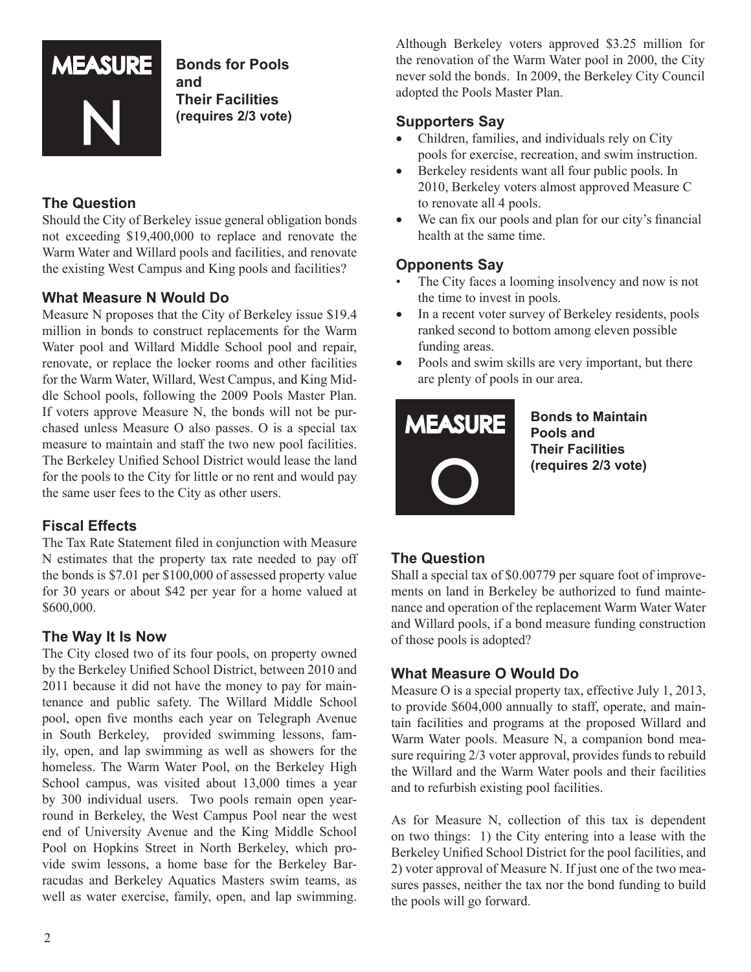

**Bonds for Pools and Their Facilities (requires 2/3 vote)**

#### **The Question**

Should the City of Berkeley issue general obligation bonds not exceeding \$19,400,000 to replace and renovate the Warm Water and Willard pools and facilities, and renovate the existing West Campus and King pools and facilities?

#### **What Measure N Would Do**

Measure N proposes that the City of Berkeley issue \$19.4 million in bonds to construct replacements for the Warm Water pool and Willard Middle School pool and repair, renovate, or replace the locker rooms and other facilities for the Warm Water, Willard, West Campus, and King Middle School pools, following the 2009 Pools Master Plan. If voters approve Measure N, the bonds will not be purchased unless Measure O also passes. O is a special tax measure to maintain and staff the two new pool facilities. The Berkeley Unified School District would lease the land for the pools to the City for little or no rent and would pay the same user fees to the City as other users.

#### **Fiscal Effects**

The Tax Rate Statement filed in conjunction with Measure N estimates that the property tax rate needed to pay off the bonds is \$7.01 per \$100,000 of assessed property value for 30 years or about \$42 per year for a home valued at \$600,000.

#### **The Way It Is Now**

The City closed two of its four pools, on property owned by the Berkeley Unified School District, between 2010 and 2011 because it did not have the money to pay for maintenance and public safety. The Willard Middle School pool, open five months each year on Telegraph Avenue in South Berkeley, provided swimming lessons, family, open, and lap swimming as well as showers for the homeless. The Warm Water Pool, on the Berkeley High School campus, was visited about 13,000 times a year by 300 individual users. Two pools remain open yearround in Berkeley, the West Campus Pool near the west end of University Avenue and the King Middle School Pool on Hopkins Street in North Berkeley, which provide swim lessons, a home base for the Berkeley Barracudas and Berkeley Aquatics Masters swim teams, as well as water exercise, family, open, and lap swimming.

Although Berkeley voters approved \$3.25 million for the renovation of the Warm Water pool in 2000, the City never sold the bonds. In 2009, the Berkeley City Council adopted the Pools Master Plan.

#### **Supporters Say**

- Children, families, and individuals rely on City pools for exercise, recreation, and swim instruction.
- Berkeley residents want all four public pools. In 2010, Berkeley voters almost approved Measure C to renovate all 4 pools.
- We can fix our pools and plan for our city's financial health at the same time.

#### **Opponents Say**

- The City faces a looming insolvency and now is not the time to invest in pools.
- In a recent voter survey of Berkeley residents, pools ranked second to bottom among eleven possible funding areas.
- Pools and swim skills are very important, but there are plenty of pools in our area.



**Bonds to Maintain Pools and Their Facilities (requires 2/3 vote)**

#### **The Question**

Shall a special tax of \$0.00779 per square foot of improvements on land in Berkeley be authorized to fund maintenance and operation of the replacement Warm Water Water and Willard pools, if a bond measure funding construction of those pools is adopted?

#### **What Measure O Would Do**

Measure O is a special property tax, effective July 1, 2013, to provide \$604,000 annually to staff, operate, and maintain facilities and programs at the proposed Willard and Warm Water pools. Measure N, a companion bond measure requiring 2/3 voter approval, provides funds to rebuild the Willard and the Warm Water pools and their facilities and to refurbish existing pool facilities.

As for Measure N, collection of this tax is dependent on two things: 1) the City entering into a lease with the Berkeley Unified School District for the pool facilities, and 2) voter approval of Measure N. If just one of the two measures passes, neither the tax nor the bond funding to build the pools will go forward.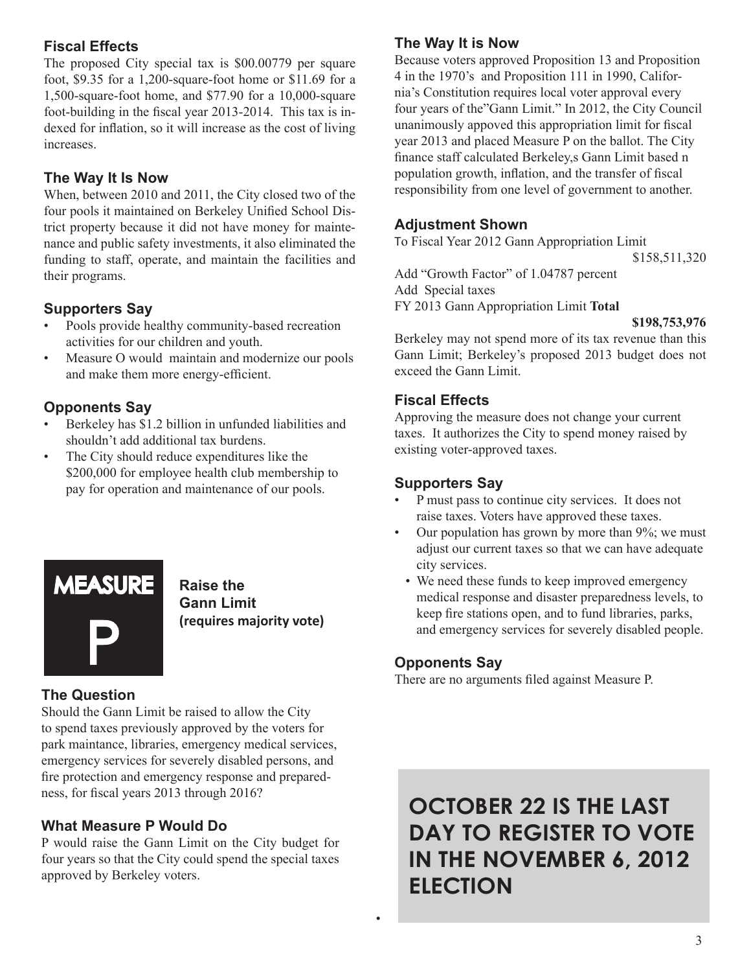#### **Fiscal Effects**

The proposed City special tax is \$00.00779 per square foot, \$9.35 for a 1,200-square-foot home or \$11.69 for a 1,500-square-foot home, and \$77.90 for a 10,000-square foot-building in the fiscal year 2013-2014. This tax is indexed for inflation, so it will increase as the cost of living increases.

#### **The Way It Is Now**

When, between 2010 and 2011, the City closed two of the four pools it maintained on Berkeley Unified School District property because it did not have money for maintenance and public safety investments, it also eliminated the funding to staff, operate, and maintain the facilities and their programs.

#### **Supporters Say**

- Pools provide healthy community-based recreation activities for our children and youth.
- Measure O would maintain and modernize our pools and make them more energy-efficient.

#### **Opponents Say**

- Berkeley has \$1.2 billion in unfunded liabilities and shouldn't add additional tax burdens.
- The City should reduce expenditures like the \$200,000 for employee health club membership to pay for operation and maintenance of our pools.



**Raise the Gann Limit (requires majority vote)**

#### **The Question**

Should the Gann Limit be raised to allow the City to spend taxes previously approved by the voters for park maintance, libraries, emergency medical services, emergency services for severely disabled persons, and fire protection and emergency response and preparedness, for fiscal years 2013 through 2016?

#### **What Measure P Would Do**

P would raise the Gann Limit on the City budget for four years so that the City could spend the special taxes approved by Berkeley voters.

#### **The Way It is Now**

Because voters approved Proposition 13 and Proposition 4 in the 1970's and Proposition 111 in 1990, California's Constitution requires local voter approval every four years of the"Gann Limit." In 2012, the City Council unanimously appoved this appropriation limit for fiscal year 2013 and placed Measure P on the ballot. The City finance staff calculated Berkeley,s Gann Limit based n population growth, inflation, and the transfer of fiscal responsibility from one level of government to another.

#### **Adjustment Shown**

To Fiscal Year 2012 Gann Appropriation Limit

\$158,511,320

Add "Growth Factor" of 1.04787 percent Add Special taxes FY 2013 Gann Appropriation Limit Total

Berkeley may not spend more of its tax revenue than this Gann Limit; Berkeley's proposed 2013 budget does not exceed the Gann Limit.

#### **Fiscal Effects**

Approving the measure does not change your current taxes. It authorizes the City to spend money raised by existing voter-approved taxes.

#### **Supporters Say**

- P must pass to continue city services. It does not raise taxes. Voters have approved these taxes.
- Our population has grown by more than 9%; we must adjust our current taxes so that we can have adequate city services.
	- We need these funds to keep improved emergency medical response and disaster preparedness levels, to keep fire stations open, and to fund libraries, parks, and emergency services for severely disabled people.

#### **Opponents Say**

•

There are no arguments filed against Measure P.

**OCTOBER 22 IS THE LAST DAY TO REGISTER TO VOTE IN THE NOVEMBER 6, 2012 ELECTION**

**<sup>\$198,753,976</sup>**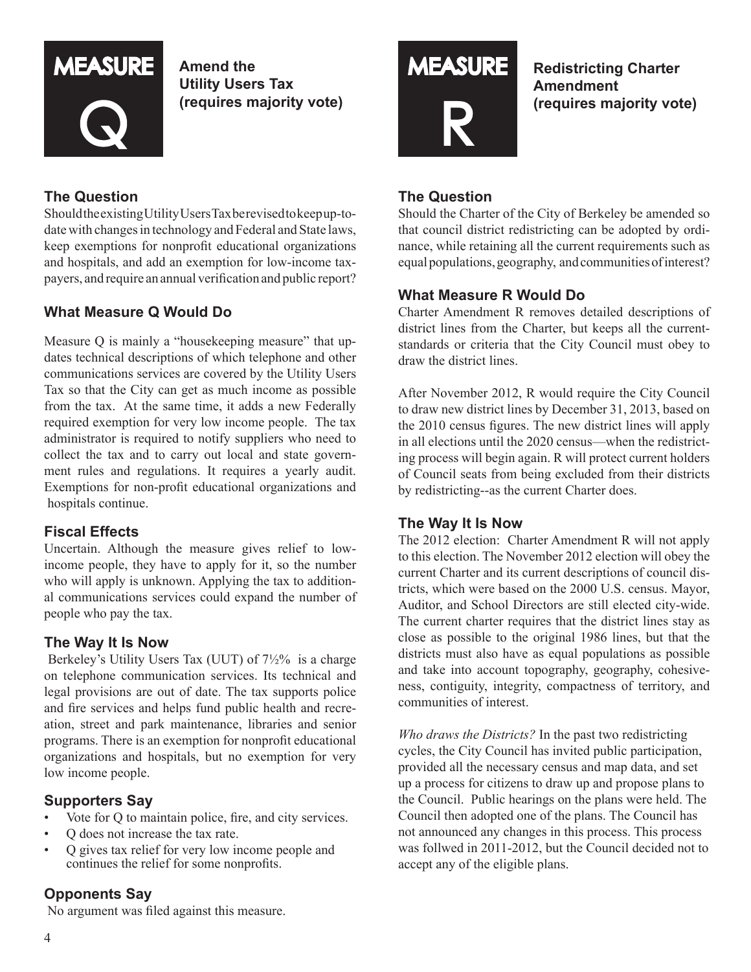

**Amend the Utility Users Tax (requires majority vote)**

#### **The Question**

ShouldtheexistingUtilityUsersTaxberevisedtokeepup-todate with changes in technology and Federal and State laws, keep exemptions for nonprofit educational organizations and hospitals, and add an exemption for low-income taxpayers, and require an annual verification and public report?

#### **What Measure Q Would Do**

Measure Q is mainly a "housekeeping measure" that updates technical descriptions of which telephone and other communications services are covered by the Utility Users Tax so that the City can get as much income as possible from the tax. At the same time, it adds a new Federally required exemption for very low income people. The tax administrator is required to notify suppliers who need to collect the tax and to carry out local and state government rules and regulations. It requires a yearly audit. Exemptions for non-profit educational organizations and hospitals continue.

#### **Fiscal Effects**

Uncertain. Although the measure gives relief to lowincome people, they have to apply for it, so the number who will apply is unknown. Applying the tax to additional communications services could expand the number of people who pay the tax.

#### **The Way It Is Now**

Berkeley's Utility Users Tax (UUT) of 7½% is a charge on telephone communication services. Its technical and legal provisions are out of date. The tax supports police and fire services and helps fund public health and recreation, street and park maintenance, libraries and senior programs. There is an exemption for nonprofit educational organizations and hospitals, but no exemption for very low income people.

#### **Supporters Say**

- Vote for Q to maintain police, fire, and city services.
- Q does not increase the tax rate.
- Q gives tax relief for very low income people and continues the relief for some nonprofits.

#### **Opponents Say**

No argument was filed against this measure.



**Redistricting Charter Amendment (requires majority vote)**

#### **The Question**

Should the Charter of the City of Berkeley be amended so that council district redistricting can be adopted by ordinance, while retaining all the current requirements such as equal populations, geography, and communities of interest?

#### **What Measure R Would Do**

Charter Amendment R removes detailed descriptions of district lines from the Charter, but keeps all the currentstandards or criteria that the City Council must obey to draw the district lines.

After November 2012, R would require the City Council to draw new district lines by December 31, 2013, based on the 2010 census figures. The new district lines will apply in all elections until the 2020 census—when the redistricting process will begin again. R will protect current holders of Council seats from being excluded from their districts by redistricting--as the current Charter does.

#### **The Way It Is Now**

The 2012 election: Charter Amendment R will not apply to this election. The November 2012 election will obey the current Charter and its current descriptions of council districts, which were based on the 2000 U.S. census. Mayor, Auditor, and School Directors are still elected city-wide. The current charter requires that the district lines stay as close as possible to the original 1986 lines, but that the districts must also have as equal populations as possible and take into account topography, geography, cohesiveness, contiguity, integrity, compactness of territory, and communities of interest.

*Who draws the Districts?* In the past two redistricting cycles, the City Council has invited public participation, provided all the necessary census and map data, and set up a process for citizens to draw up and propose plans to the Council. Public hearings on the plans were held. The Council then adopted one of the plans. The Council has not announced any changes in this process. This process was follwed in 2011-2012, but the Council decided not to accept any of the eligible plans.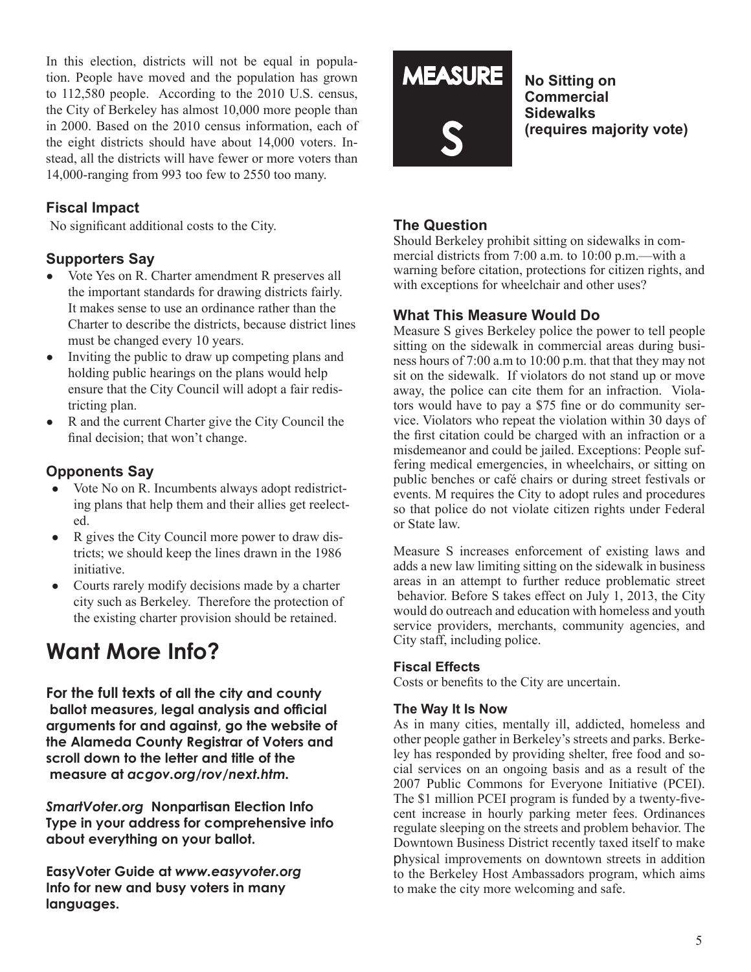In this election, districts will not be equal in population. People have moved and the population has grown to 112,580 people. According to the 2010 U.S. census, the City of Berkeley has almost 10,000 more people than in 2000. Based on the 2010 census information, each of the eight districts should have about 14,000 voters. Instead, all the districts will have fewer or more voters than 14,000-ranging from 993 too few to 2550 too many.

#### **Fiscal Impact**

No significant additional costs to the City.

#### **Supporters Say**

- ● Vote Yes on R. Charter amendment R preserves all the important standards for drawing districts fairly. It makes sense to use an ordinance rather than the Charter to describe the districts, because district lines must be changed every 10 years.
- Inviting the public to draw up competing plans and holding public hearings on the plans would help ensure that the City Council will adopt a fair redistricting plan.
- R and the current Charter give the City Council the final decision; that won't change.

#### **Opponents Say**

- Vote No on R. Incumbents always adopt redistricting plans that help them and their allies get reelected.
- R gives the City Council more power to draw districts; we should keep the lines drawn in the 1986 initiative.
- Courts rarely modify decisions made by a charter city such as Berkeley. Therefore the protection of the existing charter provision should be retained.

#### **Want More Info?**

**For the full texts of all the city and county ballot measures, legal analysis and official arguments for and against, go the website of the Alameda County Registrar of Voters and scroll down to the letter and title of the measure at** *acgov.org/rov/next.htm.*

*SmartVoter.org* **Nonpartisan Election Info Type in your address for comprehensive info about everything on your ballot.**

**EasyVoter Guide at** *www.easyvoter.org* **Info for new and busy voters in many languages.**

# **MEASURE** s

**No Sitting on Commercial Sidewalks (requires majority vote)**

#### **The Question**

Should Berkeley prohibit sitting on sidewalks in commercial districts from 7:00 a.m. to 10:00 p.m.—with a warning before citation, protections for citizen rights, and with exceptions for wheelchair and other uses?

#### **What This Measure Would Do**

Measure S gives Berkeley police the power to tell people sitting on the sidewalk in commercial areas during business hours of 7:00 a.m to 10:00 p.m. that that they may not sit on the sidewalk. If violators do not stand up or move away, the police can cite them for an infraction. Violators would have to pay a \$75 fine or do community service. Violators who repeat the violation within 30 days of the first citation could be charged with an infraction or a misdemeanor and could be jailed. Exceptions: People suffering medical emergencies, in wheelchairs, or sitting on public benches or café chairs or during street festivals or events. M requires the City to adopt rules and procedures so that police do not violate citizen rights under Federal or State law.

Measure S increases enforcement of existing laws and adds a new law limiting sitting on the sidewalk in business areas in an attempt to further reduce problematic street behavior. Before S takes effect on July 1, 2013, the City would do outreach and education with homeless and youth service providers, merchants, community agencies, and City staff, including police.

#### **Fiscal Effects**

Costs or benefits to the City are uncertain.

#### **The Way It Is Now**

As in many cities, mentally ill, addicted, homeless and other people gather in Berkeley's streets and parks. Berkeley has responded by providing shelter, free food and social services on an ongoing basis and as a result of the 2007 Public Commons for Everyone Initiative (PCEI). The \$1 million PCEI program is funded by a twenty-fivecent increase in hourly parking meter fees. Ordinances regulate sleeping on the streets and problem behavior. The Downtown Business District recently taxed itself to make physical improvements on downtown streets in addition to the Berkeley Host Ambassadors program, which aims to make the city more welcoming and safe.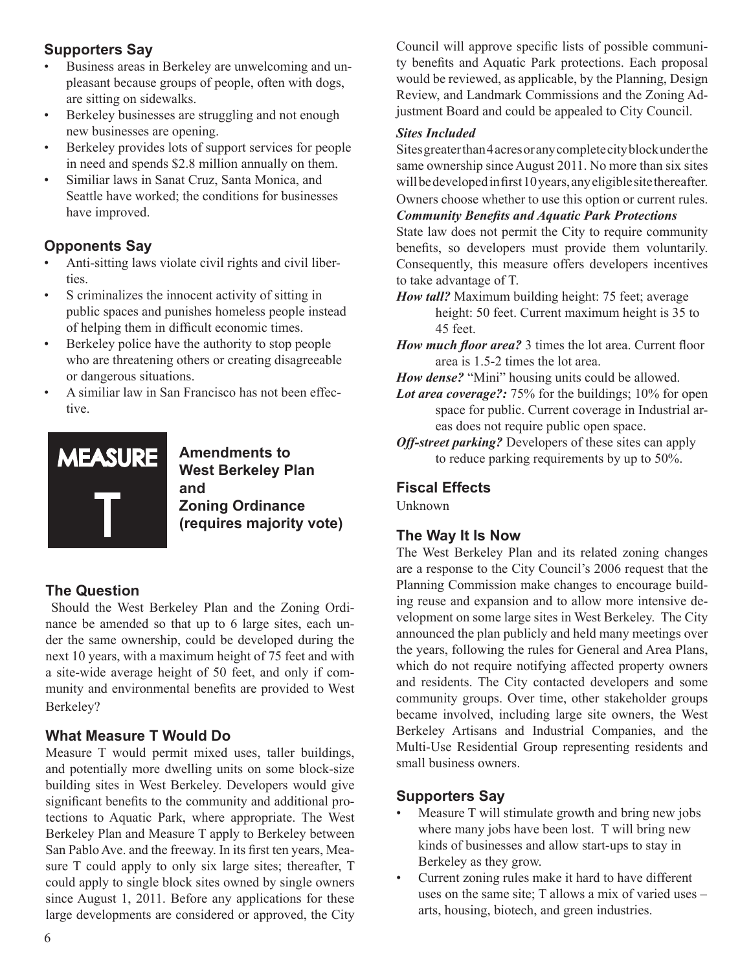#### **Supporters Say**

- Business areas in Berkeley are unwelcoming and unpleasant because groups of people, often with dogs, are sitting on sidewalks.
- Berkeley businesses are struggling and not enough new businesses are opening.
- Berkeley provides lots of support services for people in need and spends \$2.8 million annually on them.
- Similiar laws in Sanat Cruz, Santa Monica, and Seattle have worked; the conditions for businesses have improved.

#### **Opponents Say**

- Anti-sitting laws violate civil rights and civil liberties.
- S criminalizes the innocent activity of sitting in public spaces and punishes homeless people instead of helping them in difficult economic times.
- Berkeley police have the authority to stop people who are threatening others or creating disagreeable or dangerous situations.
- A similiar law in San Francisco has not been effective.



**Amendments to West Berkeley Plan and Zoning Ordinance (requires majority vote)**

#### **The Question**

Should the West Berkeley Plan and the Zoning Ordinance be amended so that up to 6 large sites, each under the same ownership, could be developed during the next 10 years, with a maximum height of 75 feet and with a site-wide average height of 50 feet, and only if community and environmental benefits are provided to West Berkeley?

#### **What Measure T Would Do**

Measure T would permit mixed uses, taller buildings, and potentially more dwelling units on some block-size building sites in West Berkeley. Developers would give significant benefits to the community and additional protections to Aquatic Park, where appropriate. The West Berkeley Plan and Measure T apply to Berkeley between San Pablo Ave. and the freeway. In its first ten years, Measure T could apply to only six large sites; thereafter, T could apply to single block sites owned by single owners since August 1, 2011. Before any applications for these large developments are considered or approved, the City Council will approve specific lists of possible community benefits and Aquatic Park protections. Each proposal would be reviewed, as applicable, by the Planning, Design Review, and Landmark Commissions and the Zoning Adjustment Board and could be appealed to City Council.

#### *Sites Included*

Sites greater than 4 acres or any complete city block under the same ownership since August 2011. No more than six sites will be developed in first 10 years, any eligible site thereafter. Owners choose whether to use this option or current rules.

*Community Benefits and Aquatic Park Protections*

State law does not permit the City to require community benefits, so developers must provide them voluntarily. Consequently, this measure offers developers incentives to take advantage of T.

*How tall?* Maximum building height: 75 feet; average height: 50 feet. Current maximum height is 35 to 45 feet.

*How much floor area?* 3 times the lot area. Current floor area is 1.5-2 times the lot area.

*How dense?* "Mini" housing units could be allowed.

- *Lot area coverage?:* 75% for the buildings; 10% for open space for public. Current coverage in Industrial areas does not require public open space.
- *Off-street parking?* Developers of these sites can apply to reduce parking requirements by up to 50%.

#### **Fiscal Effects**

Unknown

#### **The Way It Is Now**

The West Berkeley Plan and its related zoning changes are a response to the City Council's 2006 request that the Planning Commission make changes to encourage building reuse and expansion and to allow more intensive development on some large sites in West Berkeley. The City announced the plan publicly and held many meetings over the years, following the rules for General and Area Plans, which do not require notifying affected property owners and residents. The City contacted developers and some community groups. Over time, other stakeholder groups became involved, including large site owners, the West Berkeley Artisans and Industrial Companies, and the Multi-Use Residential Group representing residents and small business owners.

#### **Supporters Say**

- Measure T will stimulate growth and bring new jobs where many jobs have been lost. T will bring new kinds of businesses and allow start-ups to stay in Berkeley as they grow.
- Current zoning rules make it hard to have different uses on the same site; T allows a mix of varied uses – arts, housing, biotech, and green industries.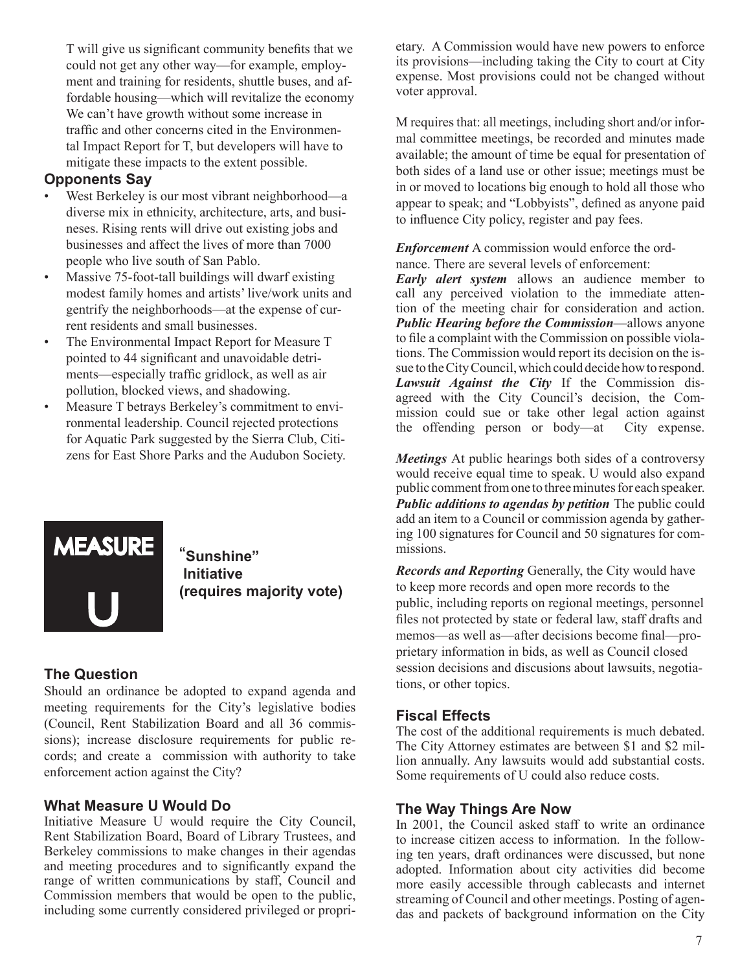T will give us significant community benefits that we could not get any other way—for example, employment and training for residents, shuttle buses, and affordable housing—which will revitalize the economy We can't have growth without some increase in traffic and other concerns cited in the Environmental Impact Report for T, but developers will have to mitigate these impacts to the extent possible.

#### **Opponents Say**

- West Berkeley is our most vibrant neighborhood—a diverse mix in ethnicity, architecture, arts, and busineses. Rising rents will drive out existing jobs and businesses and affect the lives of more than 7000 people who live south of San Pablo.
- Massive 75-foot-tall buildings will dwarf existing modest family homes and artists' live/work units and gentrify the neighborhoods—at the expense of current residents and small businesses.
- The Environmental Impact Report for Measure T pointed to 44 significant and unavoidable detriments—especially traffic gridlock, as well as air pollution, blocked views, and shadowing.
- Measure T betrays Berkeley's commitment to environmental leadership. Council rejected protections for Aquatic Park suggested by the Sierra Club, Citizens for East Shore Parks and the Audubon Society.



"**Sunshine" Initiative (requires majority vote)**

#### **The Question**

Should an ordinance be adopted to expand agenda and meeting requirements for the City's legislative bodies (Council, Rent Stabilization Board and all 36 commissions); increase disclosure requirements for public records; and create a commission with authority to take enforcement action against the City?

#### **What Measure U Would Do**

Initiative Measure U would require the City Council, Rent Stabilization Board, Board of Library Trustees, and Berkeley commissions to make changes in their agendas and meeting procedures and to significantly expand the range of written communications by staff, Council and Commission members that would be open to the public, including some currently considered privileged or proprietary. A Commission would have new powers to enforce its provisions—including taking the City to court at City expense. Most provisions could not be changed without voter approval.

M requires that: all meetings, including short and/or informal committee meetings, be recorded and minutes made available; the amount of time be equal for presentation of both sides of a land use or other issue; meetings must be in or moved to locations big enough to hold all those who appear to speak; and "Lobbyists", defined as anyone paid to influence City policy, register and pay fees.

*Enforcement* A commission would enforce the ordnance. There are several levels of enforcement:

*Early alert system* allows an audience member to call any perceived violation to the immediate attention of the meeting chair for consideration and action. *Public Hearing before the Commission*—allows anyone to file a complaint with the Commission on possible violations. The Commission would report its decision on the issue to the City Council, which could decide how to respond. *Lawsuit Against the City* If the Commission disagreed with the City Council's decision, the Commission could sue or take other legal action against the offending person or body—at City expense.

*Meetings* At public hearings both sides of a controversy would receive equal time to speak. U would also expand public comment from one to three minutes for each speaker. *Public additions to agendas by petition* The public could add an item to a Council or commission agenda by gathering 100 signatures for Council and 50 signatures for commissions.

*Records and Reporting* Generally, the City would have to keep more records and open more records to the public, including reports on regional meetings, personnel files not protected by state or federal law, staff drafts and memos—as well as—after decisions become final—proprietary information in bids, as well as Council closed session decisions and discusions about lawsuits, negotiations, or other topics.

#### **Fiscal Effects**

The cost of the additional requirements is much debated. The City Attorney estimates are between \$1 and \$2 million annually. Any lawsuits would add substantial costs. Some requirements of U could also reduce costs.

#### **The Way Things Are Now**

In 2001, the Council asked staff to write an ordinance to increase citizen access to information. In the following ten years, draft ordinances were discussed, but none adopted. Information about city activities did become more easily accessible through cablecasts and internet streaming of Council and other meetings. Posting of agendas and packets of background information on the City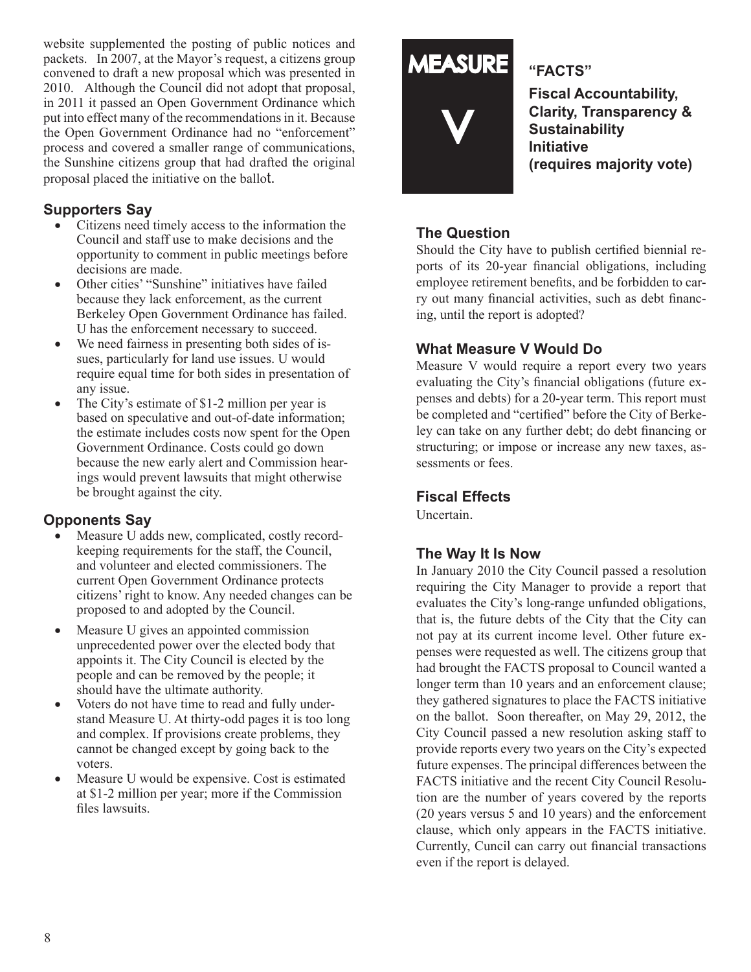website supplemented the posting of public notices and packets. In 2007, at the Mayor's request, a citizens group convened to draft a new proposal which was presented in 2010. Although the Council did not adopt that proposal, in 2011 it passed an Open Government Ordinance which put into effect many of the recommendations in it. Because the Open Government Ordinance had no "enforcement" process and covered a smaller range of communications, the Sunshine citizens group that had drafted the original proposal placed the initiative on the ballot.

#### **Supporters Say**

- Citizens need timely access to the information the Council and staff use to make decisions and the opportunity to comment in public meetings before decisions are made.
- Other cities' "Sunshine" initiatives have failed because they lack enforcement, as the current Berkeley Open Government Ordinance has failed. U has the enforcement necessary to succeed.
- We need fairness in presenting both sides of issues, particularly for land use issues. U would require equal time for both sides in presentation of any issue.
- The City's estimate of \$1-2 million per year is based on speculative and out-of-date information; the estimate includes costs now spent for the Open Government Ordinance. Costs could go down because the new early alert and Commission hearings would prevent lawsuits that might otherwise be brought against the city.

#### **Opponents Say**

- Measure U adds new, complicated, costly recordkeeping requirements for the staff, the Council, and volunteer and elected commissioners. The current Open Government Ordinance protects citizens' right to know. Any needed changes can be proposed to and adopted by the Council.
- Measure U gives an appointed commission unprecedented power over the elected body that appoints it. The City Council is elected by the people and can be removed by the people; it should have the ultimate authority.
- • Voters do not have time to read and fully understand Measure U. At thirty-odd pages it is too long and complex. If provisions create problems, they cannot be changed except by going back to the voters.
- Measure U would be expensive. Cost is estimated at \$1-2 million per year; more if the Commission files lawsuits.

## **MEASURE**



#### **"FACTS"**

**Fiscal Accountability, Clarity, Transparency & Sustainability Initiative (requires majority vote)**

#### **The Question**

Should the City have to publish certified biennial reports of its 20-year financial obligations, including employee retirement benefits, and be forbidden to carry out many financial activities, such as debt financing, until the report is adopted?

#### **What Measure V Would Do**

Measure V would require a report every two years evaluating the City's financial obligations (future expenses and debts) for a 20-year term. This report must be completed and "certified" before the City of Berkeley can take on any further debt; do debt financing or structuring; or impose or increase any new taxes, assessments or fees.

#### **Fiscal Effects**

Uncertain.

#### **The Way It Is Now**

In January 2010 the City Council passed a resolution requiring the City Manager to provide a report that evaluates the City's long-range unfunded obligations, that is, the future debts of the City that the City can not pay at its current income level. Other future expenses were requested as well. The citizens group that had brought the FACTS proposal to Council wanted a longer term than 10 years and an enforcement clause; they gathered signatures to place the FACTS initiative on the ballot. Soon thereafter, on May 29, 2012, the City Council passed a new resolution asking staff to provide reports every two years on the City's expected future expenses. The principal differences between the FACTS initiative and the recent City Council Resolution are the number of years covered by the reports (20 years versus 5 and 10 years) and the enforcement clause, which only appears in the FACTS initiative. Currently, Cuncil can carry out financial transactions even if the report is delayed.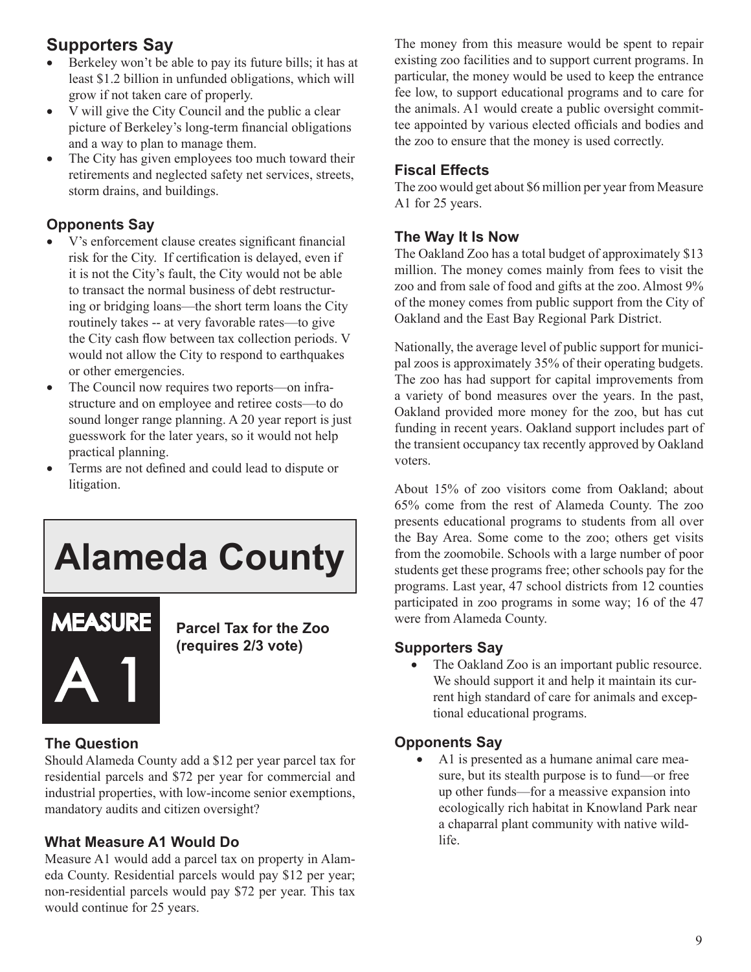#### **Supporters Say**

- Berkeley won't be able to pay its future bills; it has at least \$1.2 billion in unfunded obligations, which will grow if not taken care of properly.
- V will give the City Council and the public a clear picture of Berkeley's long-term financial obligations and a way to plan to manage them.
- The City has given employees too much toward their retirements and neglected safety net services, streets, storm drains, and buildings.

#### **Opponents Say**

- V's enforcement clause creates significant financial risk for the City. If certification is delayed, even if it is not the City's fault, the City would not be able to transact the normal business of debt restructuring or bridging loans—the short term loans the City routinely takes -- at very favorable rates—to give the City cash flow between tax collection periods. V would not allow the City to respond to earthquakes or other emergencies.
- The Council now requires two reports—on infrastructure and on employee and retiree costs—to do sound longer range planning. A 20 year report is just guesswork for the later years, so it would not help practical planning.
- Terms are not defined and could lead to dispute or litigation.

## **Alameda County**



**Parcel Tax for the Zoo (requires 2/3 vote)**

#### **The Question**

Should Alameda County add a \$12 per year parcel tax for residential parcels and \$72 per year for commercial and industrial properties, with low-income senior exemptions, mandatory audits and citizen oversight?

#### **What Measure A1 Would Do**

Measure A1 would add a parcel tax on property in Alameda County. Residential parcels would pay \$12 per year; non-residential parcels would pay \$72 per year. This tax would continue for 25 years.

The money from this measure would be spent to repair existing zoo facilities and to support current programs. In particular, the money would be used to keep the entrance fee low, to support educational programs and to care for the animals. A1 would create a public oversight committee appointed by various elected officials and bodies and the zoo to ensure that the money is used correctly.

#### **Fiscal Effects**

The zoo would get about \$6 million per year from Measure A1 for 25 years.

#### **The Way It Is Now**

The Oakland Zoo has a total budget of approximately \$13 million. The money comes mainly from fees to visit the zoo and from sale of food and gifts at the zoo. Almost 9% of the money comes from public support from the City of Oakland and the East Bay Regional Park District.

Nationally, the average level of public support for municipal zoos is approximately 35% of their operating budgets. The zoo has had support for capital improvements from a variety of bond measures over the years. In the past, Oakland provided more money for the zoo, but has cut funding in recent years. Oakland support includes part of the transient occupancy tax recently approved by Oakland voters.

About 15% of zoo visitors come from Oakland; about 65% come from the rest of Alameda County. The zoo presents educational programs to students from all over the Bay Area. Some come to the zoo; others get visits from the zoomobile. Schools with a large number of poor students get these programs free; other schools pay for the programs. Last year, 47 school districts from 12 counties participated in zoo programs in some way; 16 of the 47 were from Alameda County.

#### **Supporters Say**

• The Oakland Zoo is an important public resource. We should support it and help it maintain its current high standard of care for animals and exceptional educational programs.

#### **Opponents Say**

A1 is presented as a humane animal care measure, but its stealth purpose is to fund—or free up other funds—for a meassive expansion into ecologically rich habitat in Knowland Park near a chaparral plant community with native wildlife.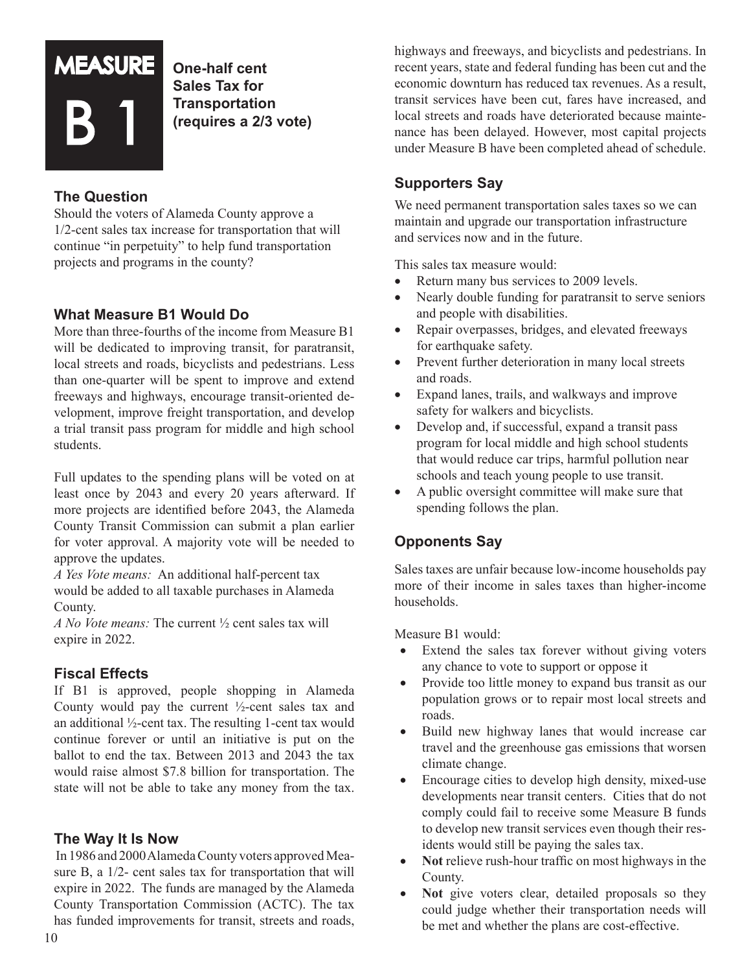

**One-half cent Sales Tax for Transportation (requires a 2/3 vote)**

#### **The Question**

Should the voters of Alameda County approve a 1/2-cent sales tax increase for transportation that will continue "in perpetuity" to help fund transportation projects and programs in the county?

#### **What Measure B1 Would Do**

More than three-fourths of the income from Measure B1 will be dedicated to improving transit, for paratransit, local streets and roads, bicyclists and pedestrians. Less than one-quarter will be spent to improve and extend freeways and highways, encourage transit-oriented development, improve freight transportation, and develop a trial transit pass program for middle and high school students.

Full updates to the spending plans will be voted on at least once by 2043 and every 20 years afterward. If more projects are identified before 2043, the Alameda County Transit Commission can submit a plan earlier for voter approval. A majority vote will be needed to approve the updates.

*A Yes Vote means:* An additional half-percent tax would be added to all taxable purchases in Alameda County.

*A No Vote means:* The current ½ cent sales tax will expire in 2022.

#### **Fiscal Effects**

If B1 is approved, people shopping in Alameda County would pay the current ½-cent sales tax and an additional ½-cent tax. The resulting 1-cent tax would continue forever or until an initiative is put on the ballot to end the tax. Between 2013 and 2043 the tax would raise almost \$7.8 billion for transportation. The state will not be able to take any money from the tax.

#### **The Way It Is Now**

In 1986 and 2000 Alameda County voters approved Measure B, a  $1/2$ - cent sales tax for transportation that will expire in 2022. The funds are managed by the Alameda County Transportation Commission (ACTC). The tax has funded improvements for transit, streets and roads, highways and freeways, and bicyclists and pedestrians. In recent years, state and federal funding has been cut and the economic downturn has reduced tax revenues. As a result, transit services have been cut, fares have increased, and local streets and roads have deteriorated because maintenance has been delayed. However, most capital projects under Measure B have been completed ahead of schedule.

#### **Supporters Say**

We need permanent transportation sales taxes so we can maintain and upgrade our transportation infrastructure and services now and in the future.

This sales tax measure would:

- Return many bus services to 2009 levels.
- Nearly double funding for paratransit to serve seniors and people with disabilities.
- Repair overpasses, bridges, and elevated freeways for earthquake safety.
- Prevent further deterioration in many local streets and roads.
- Expand lanes, trails, and walkways and improve safety for walkers and bicyclists.
- Develop and, if successful, expand a transit pass program for local middle and high school students that would reduce car trips, harmful pollution near schools and teach young people to use transit.
- A public oversight committee will make sure that spending follows the plan.

#### **Opponents Say**

Sales taxes are unfair because low-income households pay more of their income in sales taxes than higher-income households.

Measure B1 would:

- Extend the sales tax forever without giving voters any chance to vote to support or oppose it
- Provide too little money to expand bus transit as our population grows or to repair most local streets and roads.
- Build new highway lanes that would increase car travel and the greenhouse gas emissions that worsen climate change.
- Encourage cities to develop high density, mixed-use developments near transit centers. Cities that do not comply could fail to receive some Measure B funds to develop new transit services even though their residents would still be paying the sales tax.
- **Not** relieve rush-hour traffic on most highways in the County.
- **Not** give voters clear, detailed proposals so they could judge whether their transportation needs will be met and whether the plans are cost-effective.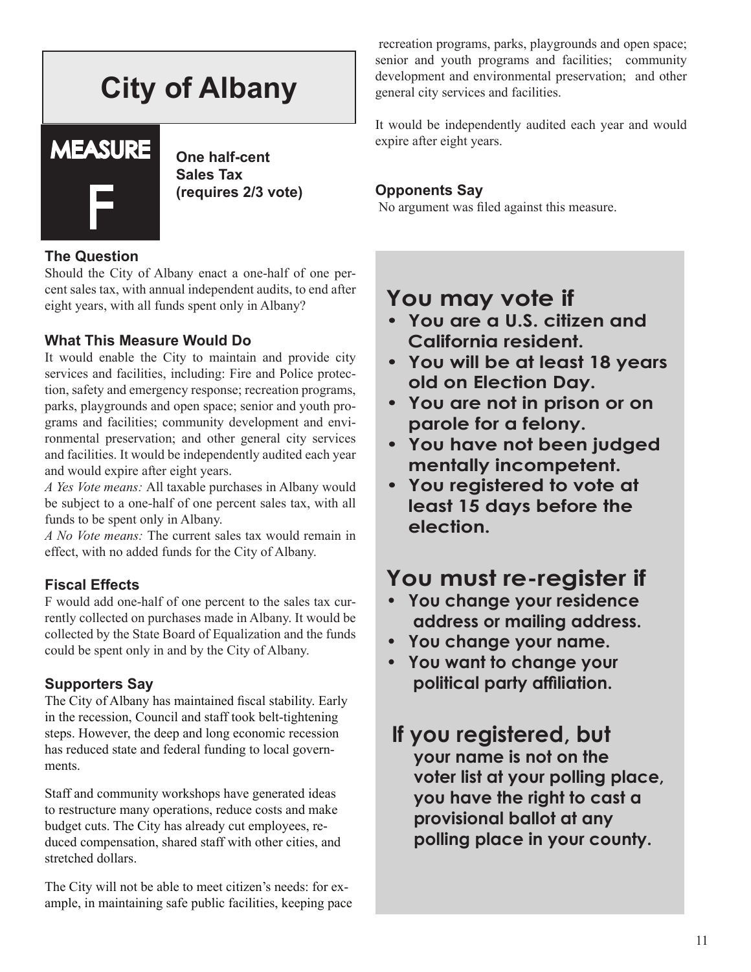### **City of Albany**

# **MEASURE** F

**One half-cent Sales Tax (requires 2/3 vote)**

#### **The Question**

Should the City of Albany enact a one-half of one percent sales tax, with annual independent audits, to end after eight years, with all funds spent only in Albany?

#### **What This Measure Would Do**

It would enable the City to maintain and provide city services and facilities, including: Fire and Police protection, safety and emergency response; recreation programs, parks, playgrounds and open space; senior and youth programs and facilities; community development and environmental preservation; and other general city services and facilities. It would be independently audited each year and would expire after eight years.

*A Yes Vote means:* All taxable purchases in Albany would be subject to a one-half of one percent sales tax, with all funds to be spent only in Albany.

*A No Vote means:* The current sales tax would remain in effect, with no added funds for the City of Albany.

#### **Fiscal Effects**

F would add one-half of one percent to the sales tax currently collected on purchases made in Albany. It would be collected by the State Board of Equalization and the funds could be spent only in and by the City of Albany.

#### **Supporters Say**

The City of Albany has maintained fiscal stability. Early in the recession, Council and staff took belt-tightening steps. However, the deep and long economic recession has reduced state and federal funding to local governments.

Staff and community workshops have generated ideas to restructure many operations, reduce costs and make budget cuts. The City has already cut employees, reduced compensation, shared staff with other cities, and stretched dollars.

The City will not be able to meet citizen's needs: for example, in maintaining safe public facilities, keeping pace

recreation programs, parks, playgrounds and open space; senior and youth programs and facilities; community development and environmental preservation; and other general city services and facilities.

It would be independently audited each year and would expire after eight years.

#### **Opponents Say**

No argument was filed against this measure.

#### **You may vote if**

- **• You are a U.S. citizen and California resident.**
- **• You will be at least 18 years old on Election Day.**
- **• You are not in prison or on parole for a felony.**
- **• You have not been judged mentally incompetent.**
- **• You registered to vote at least 15 days before the election.**

#### **You must re-register if**

- **• You change your residence address or mailing address.**
- **• You change your name.**
- **• You want to change your political party affiliation.**

#### **If you registered, but your name is not on the voter list at your polling place, you have the right to cast a provisional ballot at any polling place in your county.**